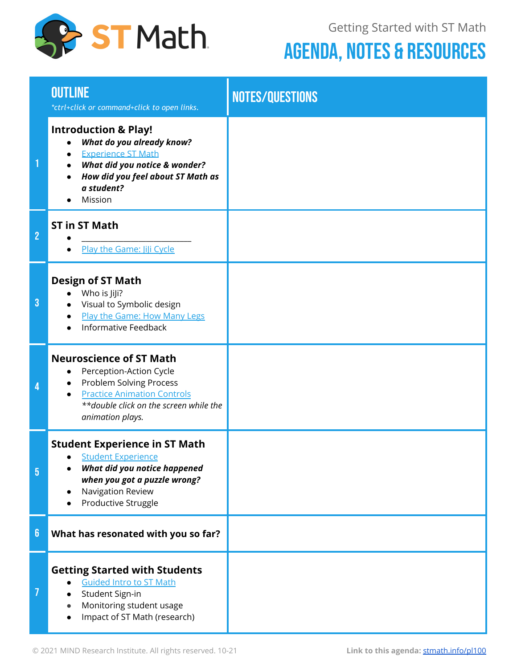

Getting Started with ST Math

## AGENDA, NOTES & RESOURCES

|                | <b>OUTLINE</b><br>*ctrl+click or command+click to open links.                                                                                                                                                      | NOTES/QUESTIONS |
|----------------|--------------------------------------------------------------------------------------------------------------------------------------------------------------------------------------------------------------------|-----------------|
|                | <b>Introduction &amp; Play!</b><br>What do you already know?<br><b>Experience ST Math</b><br>What did you notice & wonder?<br>How did you feel about ST Math as<br>a student?<br>Mission                           |                 |
| $\overline{2}$ | <b>ST in ST Math</b><br>Play the Game: JiJi Cycle                                                                                                                                                                  |                 |
| $\overline{3}$ | <b>Design of ST Math</b><br>Who is JiJi?<br>Visual to Symbolic design<br>Play the Game: How Many Legs<br><b>Informative Feedback</b>                                                                               |                 |
| 4              | <b>Neuroscience of ST Math</b><br>Perception-Action Cycle<br>$\bullet$<br>Problem Solving Process<br>$\bullet$<br><b>Practice Animation Controls</b><br>**double click on the screen while the<br>animation plays. |                 |
| 5              | <b>Student Experience in ST Math</b><br>· Student Experience<br>What did you notice happened<br>when you got a puzzle wrong?<br>Navigation Review<br>Productive Struggle                                           |                 |
| $6\phantom{a}$ | What has resonated with you so far?                                                                                                                                                                                |                 |
| 7              | <b>Getting Started with Students</b><br><b>Guided Intro to ST Math</b><br>Student Sign-in<br>Monitoring student usage<br>Impact of ST Math (research)                                                              |                 |